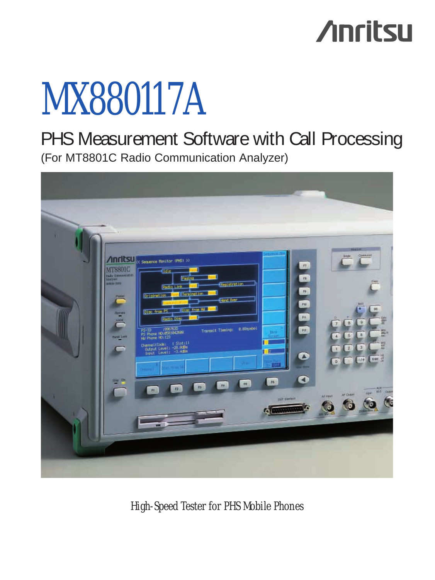## **Anritsu**

# MX880117A

PHS Measurement Software with Call Processing (For MT8801C Radio Communication Analyzer)



*High-Speed Tester for PHS Mobile Phones*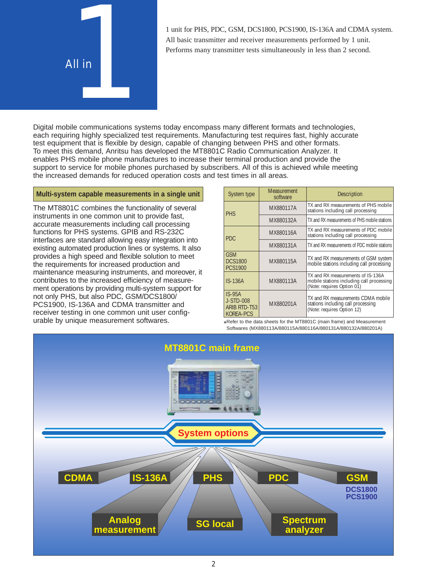

All basic transmitter and receiver measurements performed by 1 unit. Performs many transmitter tests simultaneously in less than 2 second.

Digital mobile communications systems today encompass many different formats and technologies, each requiring highly specialized test requirements. Manufacturing test requires fast, highly accurate test equipment that is flexible by design, capable of changing between PHS and other formats. To meet this demand, Anritsu has developed the MT8801C Radio Communication Analyzer. It enables PHS mobile phone manufactures to increase their terminal production and provide the support to service for mobile phones purchased by subscribers. All of this is achieved while meeting the increased demands for reduced operation costs and test times in all areas.

#### **Multi-system capable measurements in a single unit**

The MT8801C combines the functionality of several instruments in one common unit to provide fast, accurate measurements including call processing functions for PHS systems. GPIB and RS-232C interfaces are standard allowing easy integration into existing automated production lines or systems. It also provides a high speed and flexible solution to meet the requirements for increased production and maintenance measuring instruments, and moreover, it contributes to the increased efficiency of measurement operations by providing multi-system support for not only PHS, but also PDC, GSM/DCS1800/ PCS1900, IS-136A and CDMA transmitter and receiver testing in one common unit user configurable by unique measurement softwares.

| System type                                        | Measurement<br>software | <b>Description</b>                                                                                           |  |
|----------------------------------------------------|-------------------------|--------------------------------------------------------------------------------------------------------------|--|
| <b>PHS</b>                                         | MX880117A               | TX and RX measurements of PHS mobile<br>stations including call processing                                   |  |
|                                                    | MX880132A               | TX and RX measurements of PHS mobile stations                                                                |  |
| PDC.                                               | MX880116A               | TX and RX measurements of PDC mobile<br>stations including call processing                                   |  |
|                                                    | MX880131A               | TX and RX measurements of PDC mobile stations                                                                |  |
| GSM<br><b>DCS1800</b><br><b>PCS1900</b>            | MX880115A               | TX and RX measurements of GSM system<br>mobile stations including call processing                            |  |
| $IS-136A$                                          | MX880113A               | TX and RX measurements of IS-136A<br>mobile stations including call processing<br>(Note: requires Option 01) |  |
| $IS-95A$<br>J-STD-008<br>ARIB RTD-T53<br>KORFA-PCS | MX880201A               | TX and RX measurements CDMA mobile<br>stations including call processing<br>(Note: requires Option 12)       |  |

\*Refer to the data sheets for the MT8801C (main frame) and Measurement Softwares (MX880113A/880115A/880116A/880131A/880132A/880201A)

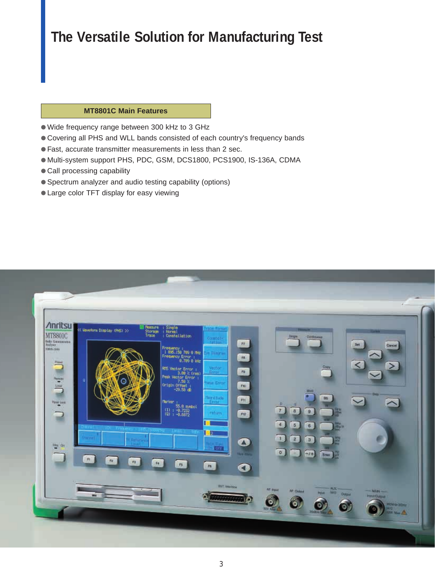## **The Versatile Solution for Manufacturing Test**

#### **MT8801C Main Features**

- Wide frequency range between 300 kHz to 3 GHz
- Covering all PHS and WLL bands consisted of each country's frequency bands
- Fast, accurate transmitter measurements in less than 2 sec.
- Multi-system support PHS, PDC, GSM, DCS1800, PCS1900, IS-136A, CDMA
- Call processing capability
- Spectrum analyzer and audio testing capability (options)
- Large color TFT display for easy viewing

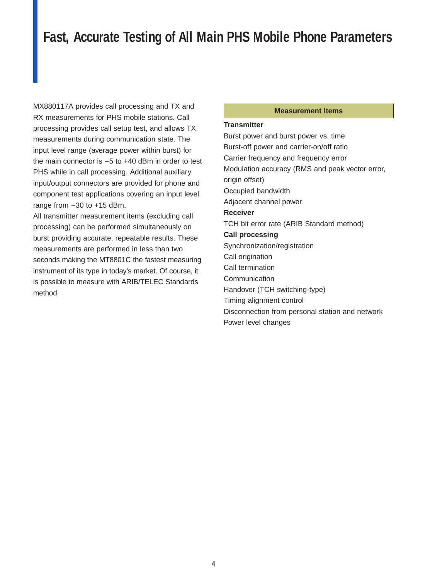### **Fast, Accurate Testing of All Main PHS Mobile Phone Parameters**

**MX880117A provides call processing and TX and <b>Measurement Items** RX measurements for PHS mobile stations. Call processing provides call setup test, and allows TX measurements during communication state. The input level range (average power within burst) for the main connector is  $-5$  to  $+40$  dBm in order to test PHS while in call processing. Additional auxiliary input/output connectors are provided for phone and component test applications covering an input level range from  $-30$  to  $+15$  dBm.

All transmitter measurement items (excluding call processing) can be performed simultaneously on burst providing accurate, repeatable results. These measurements are performed in less than two seconds making the MT8801C the fastest measuring instrument of its type in today's market. Of course, it is possible to measure with ARIB/TELEC Standards method.

#### **Transmitter**

Burst power and burst power vs. time Burst-off power and carrier-on/off ratio Carrier frequency and frequency error Modulation accuracy (RMS and peak vector error, origin offset) Occupied bandwidth Adjacent channel power **Receiver** TCH bit error rate (ARIB Standard method) **Call processing** Synchronization/registration Call origination Call termination **Communication** Handover (TCH switching-type) Timing alignment control Disconnection from personal station and network Power level changes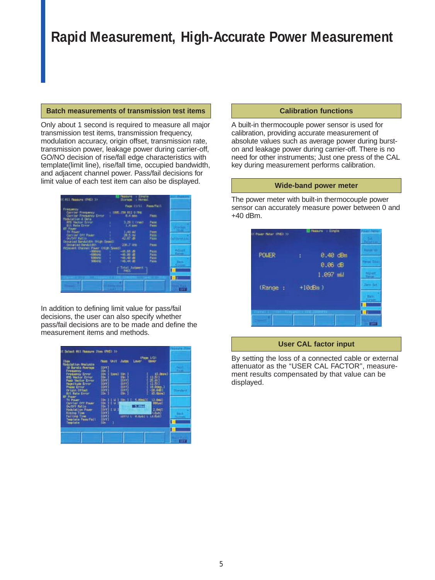## **Rapid Measurement, High-Accurate Power Measurement**

#### **Batch measurements of transmission test items**

Only about 1 second is required to measure all major transmission test items, transmission frequency, modulation accuracy, origin offset, transmission rate, transmission power, leakage power during carrier-off, GO/NO decision of rise/fall edge characteristics with template(limit line), rise/fall time, occupied bandwidth, and adjacent channel power. Pass/fail decisions for limit value of each test item can also be displayed.



In addition to defining limit value for pass/fail decisions, the user can also specify whether pass/fail decisions are to be made and define the measurement items and methods.



#### **Calibration functions**

A built-in thermocouple power sensor is used for calibration, providing accurate measurement of absolute values such as average power during burston and leakage power during carrier-off. There is no need for other instruments; Just one press of the CAL key during measurement performs calibration.

#### **Wide-band power meter**

The power meter with built-in thermocouple power sensor can accurately measure power between 0 and +40 dBm.



#### **User CAL factor input**

By setting the loss of a connected cable or external attenuator as the ''USER CAL FACTOR'', measurement results compensated by that value can be displayed.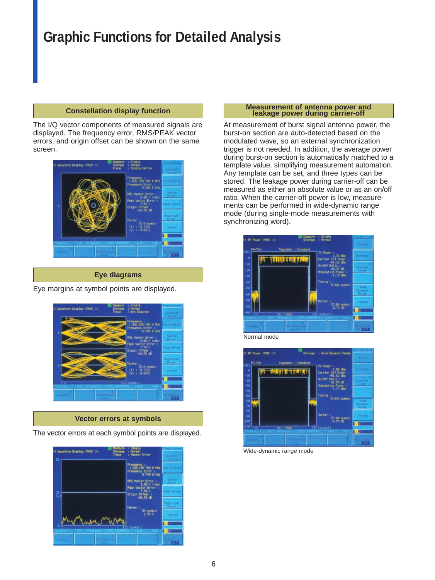## **Graphic Functions for Detailed Analysis**

#### **Constellation display function**

The I/Q vector components of measured signals are displayed. The frequency error, RMS/PEAK vector errors, and origin offset can be shown on the same screen.



#### **Eye diagrams**

Eye margins at symbol points are displayed.



#### **Vector errors at symbols**

The vector errors at each symbol points are displayed.



#### **Measurement of antenna power and leakage power during carrier-off**

At measurement of burst signal antenna power, the burst-on section are auto-detected based on the modulated wave, so an external synchronization trigger is not needed. In addition, the average power during burst-on section is automatically matched to a template value, simplifying measurement automation. Any template can be set, and three types can be stored. The leakage power during carrier-off can be measured as either an absolute value or as an on/off ratio. When the carrier-off power is low, measurements can be performed in wide-dynamic range mode (during single-mode measurements with synchronizing word).





Wide-dynamic range mode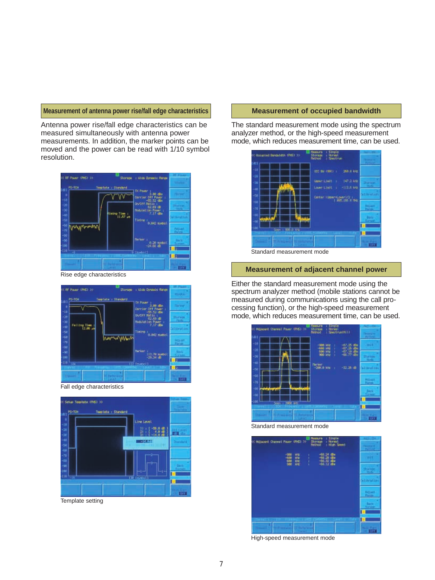#### **Measurement of antenna power rise/fall edge characteristics**

Antenna power rise/fall edge characteristics can be measured simultaneously with antenna power measurements. In addition, the marker points can be moved and the power can be read with 1/10 symbol resolution.



**Same BE PARK INC. YO** - When Diversio Ran لمنابذ Falling The 一 Б Б

Fall edge characteristics



Template setting

#### **Measurement of occupied bandwidth**

The standard measurement mode using the spectrum analyzer method, or the high-speed measurement mode, which reduces measurement time, can be used.



Standard measurement mode

#### **Measurement of adjacent channel power**

Either the standard measurement mode using the spectrum analyzer method (mobile stations cannot be measured during communications using the call processing function), or the high-speed measurement mode, which reduces measurement time, can be used.



Standard measurement mode



High-speed measurement mode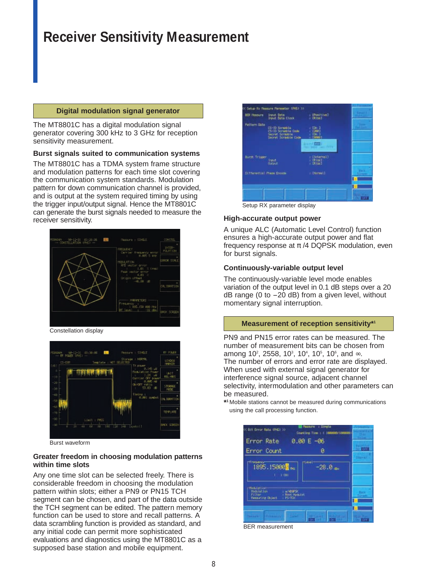## **Receiver Sensitivity Measurement**

#### **Digital modulation signal generator**

The MT8801C has a digital modulation signal generator covering 300 kHz to 3 GHz for reception sensitivity measurement.

#### **Burst signals suited to communication systems**

The MT8801C has a TDMA system frame structure and modulation patterns for each time slot covering the communication system standards. Modulation pattern for down communication channel is provided, and is output at the system required timing by using the trigger input/output signal. Hence the MT8801C can generate the burst signals needed to measure the receiver sensitivity.



Constellation display



Burst waveform

#### **Greater freedom in choosing modulation patterns within time slots**

Any one time slot can be selected freely. There is considerable freedom in choosing the modulation pattern within slots; either a PN9 or PN15 TCH segment can be chosen, and part of the data outside the TCH segment can be edited. The pattern memory function can be used to store and recall patterns. A data scrambling function is provided as standard, and any initial code can permit more sophisticated evaluations and diagnostics using the MT8801C as a supposed base station and mobile equipment.



Setup RX parameter display

#### **High-accurate output power**

A unique ALC (Automatic Level Control) function ensures a high-accurate output power and flat frequency response at π /4 DQPSK modulation, even for burst signals.

#### **Continuously-variable output level**

The continuously-variable level mode enables variation of the output level in 0.1 dB steps over a 20  $dB$  range (0 to  $-20$  dB) from a given level, without momentary signal interruption.

#### **Measurement of reception sensitivity\*1**

PN9 and PN15 error rates can be measured. The number of measurement bits can be chosen from among 10<sup>2</sup>, 2558, 10<sup>3</sup>, 10<sup>4</sup>, 10<sup>5</sup>, 10<sup>6</sup>, and  $\infty$ . The number of errors and error rate are displayed. When used with external signal generator for interference signal source, adjacent channel selectivity, intermodulation and other parameters can be measured.

**\*1** Mobile stations cannot be measured during communications using the call processing function.



BER measurement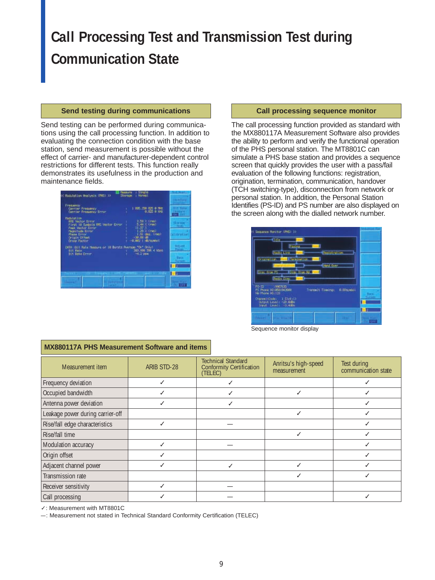## **Call Processing Test and Transmission Test during Communication State**

#### **Send testing during communications**

Send testing can be performed during communications using the call processing function. In addition to evaluating the connection condition with the base station, send measurement is possible without the effect of carrier- and manufacturer-dependent control restrictions for different tests. This function really demonstrates its usefulness in the production and maintenance fields.



#### **Call processing sequence monitor**

The call processing function provided as standard with the MX880117A Measurement Software also provides the ability to perform and verify the functional operation of the PHS personal station. The MT8801C can simulate a PHS base station and provides a sequence screen that quickly provides the user with a pass/fail evaluation of the following functions: registration, origination, termination, communication, handover (TCH switching-type), disconnection from network or personal station. In addition, the Personal Station Identifies (PS-ID) and PS number are also displayed on the screen along with the dialled network number.



Sequence monitor display

| Measurement item                 | ARIB STD-28 | <b>Technical Standard</b><br>Conformity Certification  <br>(TELEC) | Anritsu's high-speed<br>measurement | Test during<br>communication state |
|----------------------------------|-------------|--------------------------------------------------------------------|-------------------------------------|------------------------------------|
| Frequency deviation              |             |                                                                    |                                     |                                    |
| Occupied bandwidth               |             |                                                                    |                                     |                                    |
| Antenna power deviation          |             |                                                                    |                                     |                                    |
| Leakage power during carrier-off |             |                                                                    |                                     |                                    |
| Rise/fall edge characteristics   |             |                                                                    |                                     |                                    |
| Rise/fall time                   |             |                                                                    |                                     |                                    |
| Modulation accuracy              |             |                                                                    |                                     |                                    |
| Origin offset                    |             |                                                                    |                                     |                                    |
| Adjacent channel power           |             |                                                                    |                                     |                                    |
| Transmission rate                |             |                                                                    |                                     |                                    |
| Receiver sensitivity             |             |                                                                    |                                     |                                    |
| Call processing                  |             |                                                                    |                                     |                                    |

#### **MX880117A PHS Measurement Software and items**

✓: Measurement with MT8801C

–: Measurement not stated in Technical Standard Conformity Certification (TELEC)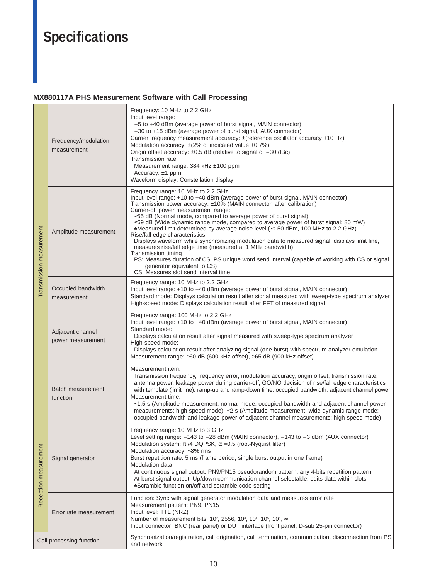## **Specifications**

#### **MX880117A PHS Measurement Software with Call Processing**

| Transmission measurement | Frequency/modulation<br>measurement   | Frequency: 10 MHz to 2.2 GHz<br>Input level range:<br>-5 to +40 dBm (average power of burst signal, MAIN connector)<br>-30 to +15 dBm (average power of burst signal, AUX connector)<br>Carrier frequency measurement accuracy: $\pm$ (reference oscillator accuracy +10 Hz)<br>Modulation accuracy: $\pm$ (2% of indicated value +0.7%)<br>Origin offset accuracy: ±0.5 dB (relative to signal of -30 dBc)<br>Transmission rate<br>Measurement range: 384 kHz ±100 ppm<br>Accuracy: $±1$ ppm<br>Waveform display: Constellation display                                                                                                                                                                                                                                                                                                                                                                |  |  |
|--------------------------|---------------------------------------|---------------------------------------------------------------------------------------------------------------------------------------------------------------------------------------------------------------------------------------------------------------------------------------------------------------------------------------------------------------------------------------------------------------------------------------------------------------------------------------------------------------------------------------------------------------------------------------------------------------------------------------------------------------------------------------------------------------------------------------------------------------------------------------------------------------------------------------------------------------------------------------------------------|--|--|
|                          | Amplitude measurement                 | Frequency range: 10 MHz to 2.2 GHz<br>Input level range: +10 to +40 dBm (average power of burst signal, MAIN connector)<br>Transmission power accuracy: $\pm 10\%$ (MAIN connector, after calibration)<br>Carrier-off power measurement range:<br>≥55 dB (Normal mode, compared to average power of burst signal)<br>≥69 dB (Wide dynamic range mode, compared to average power of burst signal: 80 mW)<br>*Measured limit determined by average noise level ( $\leq$ -50 dBm, 100 MHz to 2.2 GHz).<br>Rise/fall edge characteristics:<br>Displays waveform while synchronizing modulation data to measured signal, displays limit line,<br>measures rise/fall edge time (measured at 1 MHz bandwidth)<br>Transmission timing<br>PS: Measures duration of CS, PS unique word send interval (capable of working with CS or signal<br>generator equivalent to CS)<br>CS: Measures slot send interval time |  |  |
|                          | Occupied bandwidth<br>measurement     | Frequency range: 10 MHz to 2.2 GHz<br>Input level range: +10 to +40 dBm (average power of burst signal, MAIN connector)<br>Standard mode: Displays calculation result after signal measured with sweep-type spectrum analyzer<br>High-speed mode: Displays calculation result after FFT of measured signal                                                                                                                                                                                                                                                                                                                                                                                                                                                                                                                                                                                              |  |  |
|                          | Adjacent channel<br>power measurement | Frequency range: 100 MHz to 2.2 GHz<br>Input level range: +10 to +40 dBm (average power of burst signal, MAIN connector)<br>Standard mode:<br>Displays calculation result after signal measured with sweep-type spectrum analyzer<br>High-speed mode:<br>Displays calculation result after analyzing signal (one burst) with spectrum analyzer emulation<br>Measurement range: ≥60 dB (600 kHz offset), ≥65 dB (900 kHz offset)                                                                                                                                                                                                                                                                                                                                                                                                                                                                         |  |  |
|                          | <b>Batch measurement</b><br>function  | Measurement item:<br>Transmission frequency, frequency error, modulation accuracy, origin offset, transmission rate,<br>antenna power, leakage power during carrier-off, GO/NO decision of rise/fall edge characteristics<br>with template (limit line), ramp-up and ramp-down time, occupied bandwidth, adjacent channel power<br>Measurement time:<br>$\leq$ 1.5 s (Amplitude measurement: normal mode; occupied bandwidth and adjacent channel power<br>measurements: high-speed mode), ≤2 s (Amplitude measurement: wide dynamic range mode;<br>occupied bandwidth and leakage power of adjacent channel measurements: high-speed mode)                                                                                                                                                                                                                                                             |  |  |
| Reception measurement    | Signal generator                      | Frequency range: 10 MHz to 3 GHz<br>Level setting range: -143 to -28 dBm (MAIN connector), -143 to -3 dBm (AUX connector)<br>Modulation system: $\pi$ /4 DQPSK, $\alpha$ =0.5 (root-Nyquist filter)<br>Modulation accuracy: ≤3% rms<br>Burst repetition rate: 5 ms (frame period, single burst output in one frame)<br>Modulation data<br>At continuous signal output: PN9/PN15 pseudorandom pattern, any 4-bits repetition pattern<br>At burst signal output: Up/down communication channel selectable, edits data within slots<br>*Scramble function on/off and scramble code setting                                                                                                                                                                                                                                                                                                                 |  |  |
|                          | Error rate measurement                | Function: Sync with signal generator modulation data and measures error rate<br>Measurement pattern: PN9, PN15<br>Input level: TTL (NRZ)<br>Number of measurement bits: 10 <sup>2</sup> , 2556, 10 <sup>3</sup> , 10 <sup>4</sup> , 10 <sup>5</sup> , 10 <sup>6</sup> , ∞<br>Input connector: BNC (rear panel) or DUT interface (front panel, D-sub 25-pin connector)                                                                                                                                                                                                                                                                                                                                                                                                                                                                                                                                   |  |  |
| Call processing function |                                       | Synchronization/registration, call origination, call termination, communication, disconnection from PS<br>and network                                                                                                                                                                                                                                                                                                                                                                                                                                                                                                                                                                                                                                                                                                                                                                                   |  |  |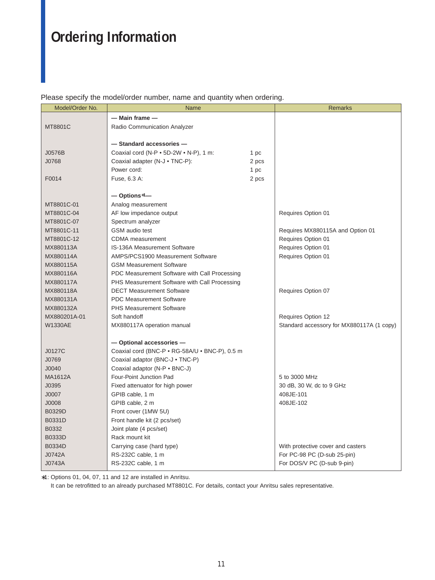## **Ordering Information**

Please specify the model/order number, name and quantity when ordering.

| Model/Order No. | <b>Name</b>                                            |       | <b>Remarks</b>                            |
|-----------------|--------------------------------------------------------|-------|-------------------------------------------|
|                 | — Main frame —                                         |       |                                           |
| MT8801C         | Radio Communication Analyzer                           |       |                                           |
|                 |                                                        |       |                                           |
|                 | - Standard accessories-                                |       |                                           |
| J0576B          | Coaxial cord (N-P $\bullet$ 5D-2W $\bullet$ N-P), 1 m: | 1 pc  |                                           |
| J0768           | Coaxial adapter (N-J • TNC-P):                         | 2 pcs |                                           |
|                 | Power cord:                                            | 1 pc  |                                           |
| F0014           | Fuse, 6.3 A:                                           | 2 pcs |                                           |
|                 |                                                        |       |                                           |
|                 | $-$ Options*1 $-$                                      |       |                                           |
| MT8801C-01      | Analog measurement                                     |       |                                           |
| MT8801C-04      | AF low impedance output                                |       | Requires Option 01                        |
| MT8801C-07      | Spectrum analyzer                                      |       |                                           |
| MT8801C-11      | <b>GSM</b> audio test                                  |       | Requires MX880115A and Option 01          |
| MT8801C-12      | <b>CDMA</b> measurement                                |       | Requires Option 01                        |
| MX880113A       | <b>IS-136A Measurement Software</b>                    |       | Requires Option 01                        |
| MX880114A       | AMPS/PCS1900 Measurement Software                      |       | Requires Option 01                        |
| MX880115A       | <b>GSM Measurement Software</b>                        |       |                                           |
| MX880116A       | PDC Measurement Software with Call Processing          |       |                                           |
| MX880117A       | PHS Measurement Software with Call Processing          |       |                                           |
| MX880118A       | <b>DECT Measurement Software</b>                       |       | Requires Option 07                        |
| MX880131A       | <b>PDC Measurement Software</b>                        |       |                                           |
| MX880132A       | <b>PHS Measurement Software</b>                        |       |                                           |
| MX880201A-01    | Soft handoff                                           |       | Requires Option 12                        |
| <b>W1330AE</b>  | MX880117A operation manual                             |       | Standard accessory for MX880117A (1 copy) |
|                 |                                                        |       |                                           |
|                 | - Optional accessories-                                |       |                                           |
| J0127C          | Coaxial cord (BNC-P · RG-58A/U · BNC-P), 0.5 m         |       |                                           |
| J0769           | Coaxial adaptor (BNC-J . TNC-P)                        |       |                                           |
| J0040           | Coaxial adaptor (N-P . BNC-J)                          |       |                                           |
| <b>MA1612A</b>  | Four-Point Junction Pad                                |       | 5 to 3000 MHz                             |
| J0395           | Fixed attenuator for high power                        |       | 30 dB, 30 W, dc to 9 GHz                  |
| J0007           | GPIB cable, 1 m                                        |       | 408JE-101                                 |
| J0008           | GPIB cable, 2 m                                        |       | 408JE-102                                 |
| B0329D          | Front cover (1MW 5U)                                   |       |                                           |
| B0331D          | Front handle kit (2 pcs/set)                           |       |                                           |
| B0332           | Joint plate (4 pcs/set)                                |       |                                           |
| B0333D          | Rack mount kit                                         |       |                                           |
| B0334D          | Carrying case (hard type)                              |       | With protective cover and casters         |
| J0742A          | RS-232C cable, 1 m                                     |       | For PC-98 PC (D-sub 25-pin)               |
| J0743A          | RS-232C cable, 1 m                                     |       | For DOS/V PC (D-sub 9-pin)                |

∗1: Options 01, 04, 07, 11 and 12 are installed in Anritsu.

It can be retrofitted to an already purchased MT8801C. For details, contact your Anritsu sales representative.